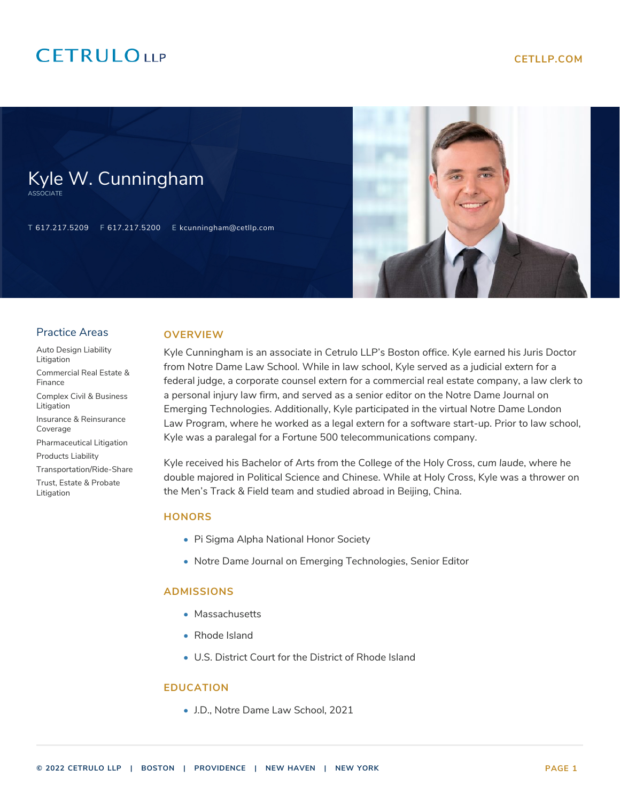## **CETRULOUP**

Kyle W. Cunningham

T 617.217.5209 F 617.217.5200 E kcunningham@cetllp.com



#### Practice Areas

ASSOCIATE

- [Auto Design Liability](https://www.cetllp.com/practice-areas/auto-design-liability-litigation/) [Litigation](https://www.cetllp.com/practice-areas/auto-design-liability-litigation/) [Commercial Real Estate &](https://www.cetllp.com/practice-areas/commercial-real-estate-finance/) [Finance](https://www.cetllp.com/practice-areas/commercial-real-estate-finance/)
- [Complex Civil & Business](https://www.cetllp.com/practice-areas/complex-civil-business-litigation/) [Litigation](https://www.cetllp.com/practice-areas/complex-civil-business-litigation/)
- [Insurance & Reinsurance](https://www.cetllp.com/practice-areas/insurance-reinsurance-coverage/) [Coverage](https://www.cetllp.com/practice-areas/insurance-reinsurance-coverage/)

[Pharmaceutical Litigation](https://www.cetllp.com/practice-areas/pharmaceutical-litigation/)

- [Products Liability](https://www.cetllp.com/practice-areas/products-liability/)
- [Transportation/Ride-Share](https://www.cetllp.com/practice-areas/transportation/)

[Trust, Estate & Probate](https://www.cetllp.com/practice-areas/trust-estate-probate-litigation/) [Litigation](https://www.cetllp.com/practice-areas/trust-estate-probate-litigation/)

#### **OVERVIEW**

Kyle Cunningham is an associate in Cetrulo LLP's Boston office. Kyle earned his Juris Doctor from Notre Dame Law School. While in law school, Kyle served as a judicial extern for a federal judge, a corporate counsel extern for a commercial real estate company, a law clerk to a personal injury law firm, and served as a senior editor on the Notre Dame Journal on Emerging Technologies. Additionally, Kyle participated in the virtual Notre Dame London Law Program, where he worked as a legal extern for a software start-up. Prior to law school, Kyle was a paralegal for a Fortune 500 telecommunications company.

Kyle received his Bachelor of Arts from the College of the Holy Cross, *cum laude*, where he double majored in Political Science and Chinese. While at Holy Cross, Kyle was a thrower on the Men's Track & Field team and studied abroad in Beijing, China.

#### **HONORS**

- Pi Sigma Alpha National Honor Society
- Notre Dame Journal on Emerging Technologies, Senior Editor

#### **ADMISSIONS**

- Massachusetts
- Rhode Island
- U.S. District Court for the District of Rhode Island

#### **EDUCATION**

• J.D., Notre Dame Law School, 2021